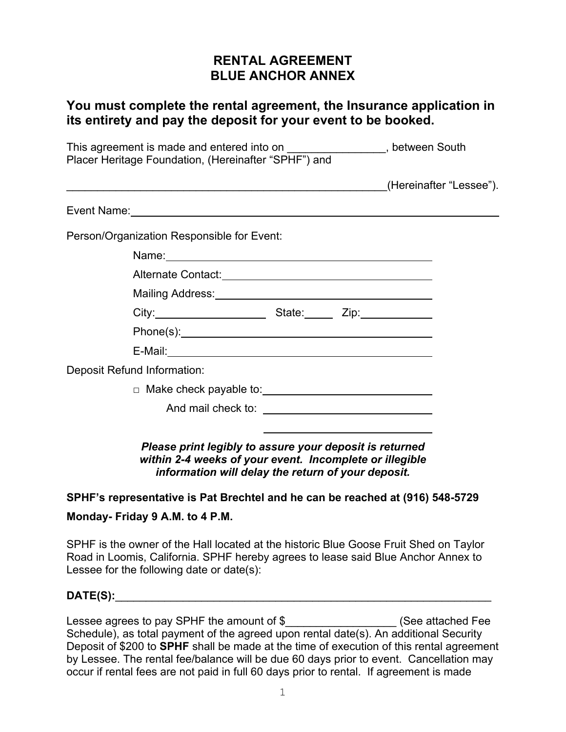## **RENTAL AGREEMENT BLUE ANCHOR ANNEX**

### **You must complete the rental agreement, the Insurance application in its entirety and pay the deposit for your event to be booked.**

| This agreement is made and entered into on _________________, between South<br>Placer Heritage Foundation, (Hereinafter "SPHF") and |                                                                                                                    |  |  |  |  |
|-------------------------------------------------------------------------------------------------------------------------------------|--------------------------------------------------------------------------------------------------------------------|--|--|--|--|
|                                                                                                                                     |                                                                                                                    |  |  |  |  |
|                                                                                                                                     |                                                                                                                    |  |  |  |  |
|                                                                                                                                     | Person/Organization Responsible for Event:                                                                         |  |  |  |  |
|                                                                                                                                     |                                                                                                                    |  |  |  |  |
|                                                                                                                                     | Alternate Contact: National Contact: National Contact: National Contact: National Contact: National Contact: N     |  |  |  |  |
|                                                                                                                                     |                                                                                                                    |  |  |  |  |
|                                                                                                                                     | City: 2010 City: 2010 City: 2010 City:                                                                             |  |  |  |  |
|                                                                                                                                     |                                                                                                                    |  |  |  |  |
|                                                                                                                                     | E-Mail: 2008 2014 2022 2023 2024 2022 2023 2024 2022 2023 2024 2022 2023 2024 2022 2023 2024 2022 2024 2022 20     |  |  |  |  |
|                                                                                                                                     | <b>Deposit Refund Information:</b>                                                                                 |  |  |  |  |
|                                                                                                                                     |                                                                                                                    |  |  |  |  |
|                                                                                                                                     |                                                                                                                    |  |  |  |  |
|                                                                                                                                     | Please print legibly to assure your deposit is returned<br>within 2-4 weeks of your event. Incomplete or illegible |  |  |  |  |

*information will delay the return of your deposit.*

### **SPHF's representative is Pat Brechtel and he can be reached at (916) 548-5729**

#### **Monday- Friday 9 A.M. to 4 P.M.**

SPHF is the owner of the Hall located at the historic Blue Goose Fruit Shed on Taylor Road in Loomis, California. SPHF hereby agrees to lease said Blue Anchor Annex to Lessee for the following date or date(s):

#### **DATE(S):**\_\_\_\_\_\_\_\_\_\_\_\_\_\_\_\_\_\_\_\_\_\_\_\_\_\_\_\_\_\_\_\_\_\_\_\_\_\_\_\_\_\_\_\_\_\_\_\_\_\_\_\_\_\_\_\_\_\_\_\_\_

Lessee agrees to pay SPHF the amount of \$ \_\_\_\_\_\_\_\_\_\_\_\_\_\_\_\_\_\_\_\_\_\_ (See attached Fee Schedule), as total payment of the agreed upon rental date(s). An additional Security Deposit of \$200 to **SPHF** shall be made at the time of execution of this rental agreement by Lessee. The rental fee/balance will be due 60 days prior to event. Cancellation may occur if rental fees are not paid in full 60 days prior to rental. If agreement is made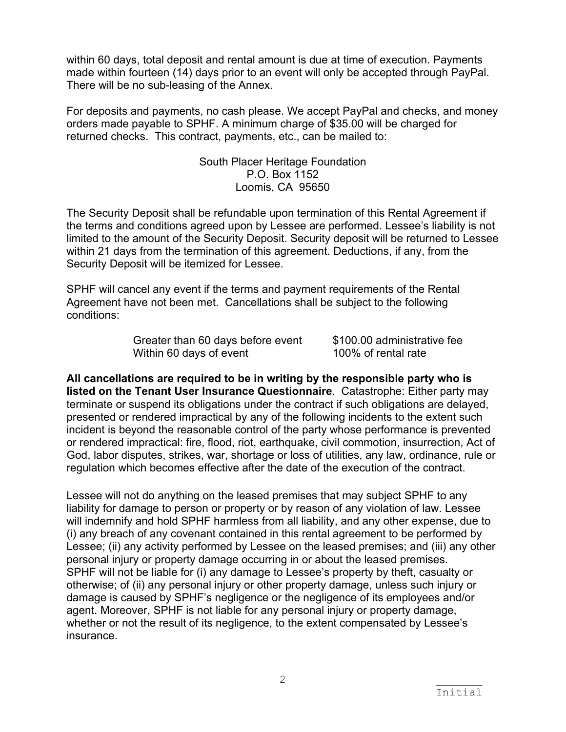within 60 days, total deposit and rental amount is due at time of execution. Payments made within fourteen (14) days prior to an event will only be accepted through PayPal. There will be no sub-leasing of the Annex.

For deposits and payments, no cash please. We accept PayPal and checks, and money orders made payable to SPHF. A minimum charge of \$35.00 will be charged for returned checks. This contract, payments, etc., can be mailed to:

> South Placer Heritage Foundation P.O. Box 1152 Loomis, CA 95650

The Security Deposit shall be refundable upon termination of this Rental Agreement if the terms and conditions agreed upon by Lessee are performed. Lessee's liability is not limited to the amount of the Security Deposit. Security deposit will be returned to Lessee within 21 days from the termination of this agreement. Deductions, if any, from the Security Deposit will be itemized for Lessee.

SPHF will cancel any event if the terms and payment requirements of the Rental Agreement have not been met. Cancellations shall be subject to the following conditions:

> Greater than 60 days before event \$100.00 administrative fee Within 60 days of event 100% of rental rate

**All cancellations are required to be in writing by the responsible party who is listed on the Tenant User Insurance Questionnaire**. Catastrophe: Either party may terminate or suspend its obligations under the contract if such obligations are delayed, presented or rendered impractical by any of the following incidents to the extent such incident is beyond the reasonable control of the party whose performance is prevented or rendered impractical: fire, flood, riot, earthquake, civil commotion, insurrection, Act of God, labor disputes, strikes, war, shortage or loss of utilities, any law, ordinance, rule or regulation which becomes effective after the date of the execution of the contract.

Lessee will not do anything on the leased premises that may subject SPHF to any liability for damage to person or property or by reason of any violation of law. Lessee will indemnify and hold SPHF harmless from all liability, and any other expense, due to (i) any breach of any covenant contained in this rental agreement to be performed by Lessee; (ii) any activity performed by Lessee on the leased premises; and (iii) any other personal injury or property damage occurring in or about the leased premises. SPHF will not be liable for (i) any damage to Lessee's property by theft, casualty or otherwise; of (ii) any personal injury or other property damage, unless such injury or damage is caused by SPHF's negligence or the negligence of its employees and/or agent. Moreover, SPHF is not liable for any personal injury or property damage, whether or not the result of its negligence, to the extent compensated by Lessee's insurance.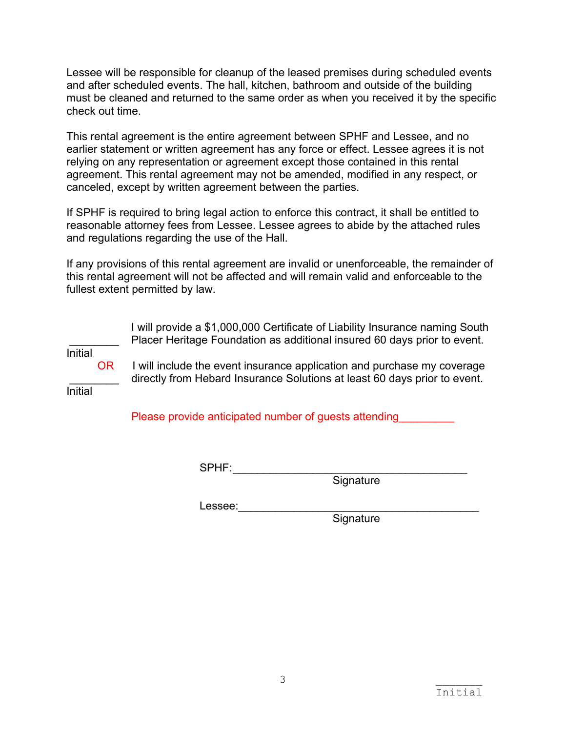Lessee will be responsible for cleanup of the leased premises during scheduled events and after scheduled events. The hall, kitchen, bathroom and outside of the building must be cleaned and returned to the same order as when you received it by the specific check out time.

This rental agreement is the entire agreement between SPHF and Lessee, and no earlier statement or written agreement has any force or effect. Lessee agrees it is not relying on any representation or agreement except those contained in this rental agreement. This rental agreement may not be amended, modified in any respect, or canceled, except by written agreement between the parties.

If SPHF is required to bring legal action to enforce this contract, it shall be entitled to reasonable attorney fees from Lessee. Lessee agrees to abide by the attached rules and regulations regarding the use of the Hall.

If any provisions of this rental agreement are invalid or unenforceable, the remainder of this rental agreement will not be affected and will remain valid and enforceable to the fullest extent permitted by law.

 I will provide a \$1,000,000 Certificate of Liability Insurance naming South Placer Heritage Foundation as additional insured 60 days prior to event. Initial OR I will include the event insurance application and purchase my coverage directly from Hebard Insurance Solutions at least 60 days prior to event. Initial

Please provide anticipated number of guests attending

SPHF:\_\_\_\_\_\_\_\_\_\_\_\_\_\_\_\_\_\_\_\_\_\_\_\_\_\_\_\_\_\_\_\_\_\_\_\_\_\_

Signature

Lessee:\_\_\_\_\_\_\_\_\_\_\_\_\_\_\_\_\_\_\_\_\_\_\_\_\_\_\_\_\_\_\_\_\_\_\_\_\_\_\_

Signature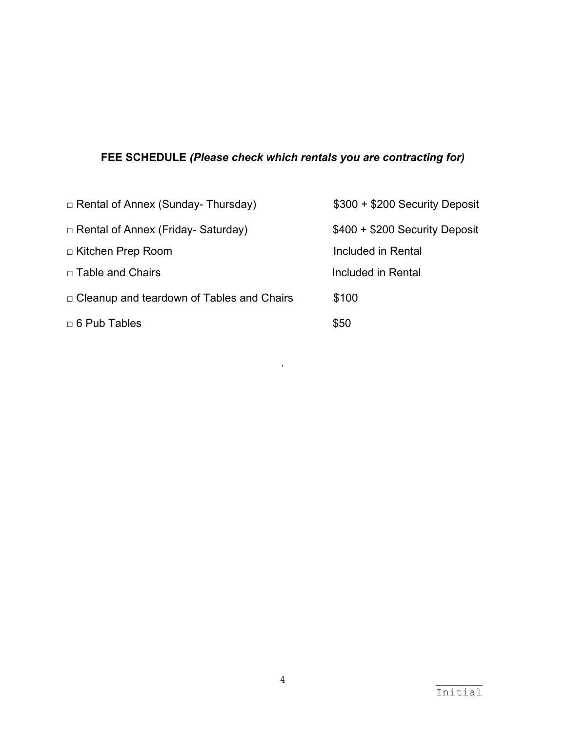# **FEE SCHEDULE** *(Please check which rentals you are contracting for)*

| $\Box$ Rental of Annex (Sunday- Thursday)        | \$300 + \$200 Security Deposit |
|--------------------------------------------------|--------------------------------|
| $\Box$ Rental of Annex (Friday- Saturday)        | $$400 + $200$ Security Deposit |
| □ Kitchen Prep Room                              | Included in Rental             |
| □ Table and Chairs                               | Included in Rental             |
| $\Box$ Cleanup and teardown of Tables and Chairs | \$100                          |
| $\Box$ 6 Pub Tables                              | \$50                           |

*.*